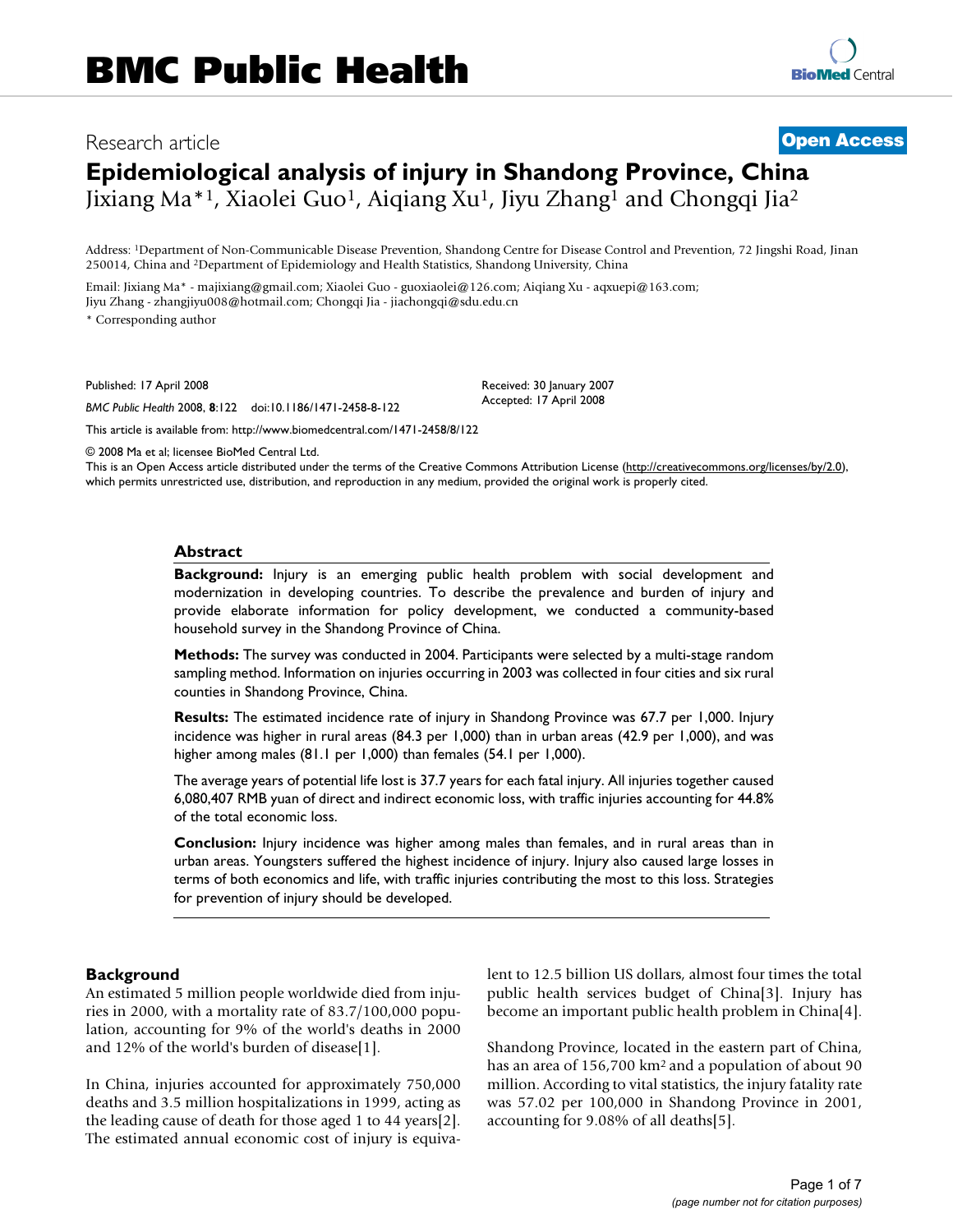## Research article **[Open Access](http://www.biomedcentral.com/info/about/charter/)**

# **Epidemiological analysis of injury in Shandong Province, China** Jixiang Ma\*1, Xiaolei Guo1, Aiqiang Xu1, Jiyu Zhang1 and Chongqi Jia2

Address: 1Department of Non-Communicable Disease Prevention, Shandong Centre for Disease Control and Prevention, 72 Jingshi Road, Jinan 250014, China and 2Department of Epidemiology and Health Statistics, Shandong University, China

Email: Jixiang Ma\* - majixiang@gmail.com; Xiaolei Guo - guoxiaolei@126.com; Aiqiang Xu - aqxuepi@163.com; Jiyu Zhang - zhangjiyu008@hotmail.com; Chongqi Jia - jiachongqi@sdu.edu.cn

\* Corresponding author

Published: 17 April 2008

*BMC Public Health* 2008, **8**:122 doi:10.1186/1471-2458-8-122

Accepted: 17 April 2008

Received: 30 January 2007

[This article is available from: http://www.biomedcentral.com/1471-2458/8/122](http://www.biomedcentral.com/1471-2458/8/122)

© 2008 Ma et al; licensee BioMed Central Ltd.

This is an Open Access article distributed under the terms of the Creative Commons Attribution License [\(http://creativecommons.org/licenses/by/2.0\)](http://creativecommons.org/licenses/by/2.0), which permits unrestricted use, distribution, and reproduction in any medium, provided the original work is properly cited.

#### **Abstract**

**Background:** Injury is an emerging public health problem with social development and modernization in developing countries. To describe the prevalence and burden of injury and provide elaborate information for policy development, we conducted a community-based household survey in the Shandong Province of China.

**Methods:** The survey was conducted in 2004. Participants were selected by a multi-stage random sampling method. Information on injuries occurring in 2003 was collected in four cities and six rural counties in Shandong Province, China.

**Results:** The estimated incidence rate of injury in Shandong Province was 67.7 per 1,000. Injury incidence was higher in rural areas (84.3 per 1,000) than in urban areas (42.9 per 1,000), and was higher among males (81.1 per 1,000) than females (54.1 per 1,000).

The average years of potential life lost is 37.7 years for each fatal injury. All injuries together caused 6,080,407 RMB yuan of direct and indirect economic loss, with traffic injuries accounting for 44.8% of the total economic loss.

**Conclusion:** Injury incidence was higher among males than females, and in rural areas than in urban areas. Youngsters suffered the highest incidence of injury. Injury also caused large losses in terms of both economics and life, with traffic injuries contributing the most to this loss. Strategies for prevention of injury should be developed.

#### **Background**

An estimated 5 million people worldwide died from injuries in 2000, with a mortality rate of 83.7/100,000 population, accounting for 9% of the world's deaths in 2000 and 12% of the world's burden of disease[1].

In China, injuries accounted for approximately 750,000 deaths and 3.5 million hospitalizations in 1999, acting as the leading cause of death for those aged 1 to 44 years[2]. The estimated annual economic cost of injury is equivalent to 12.5 billion US dollars, almost four times the total public health services budget of China[3]. Injury has become an important public health problem in China[4].

Shandong Province, located in the eastern part of China, has an area of 156,700 km<sup>2</sup> and a population of about 90 million. According to vital statistics, the injury fatality rate was 57.02 per 100,000 in Shandong Province in 2001, accounting for 9.08% of all deaths[5].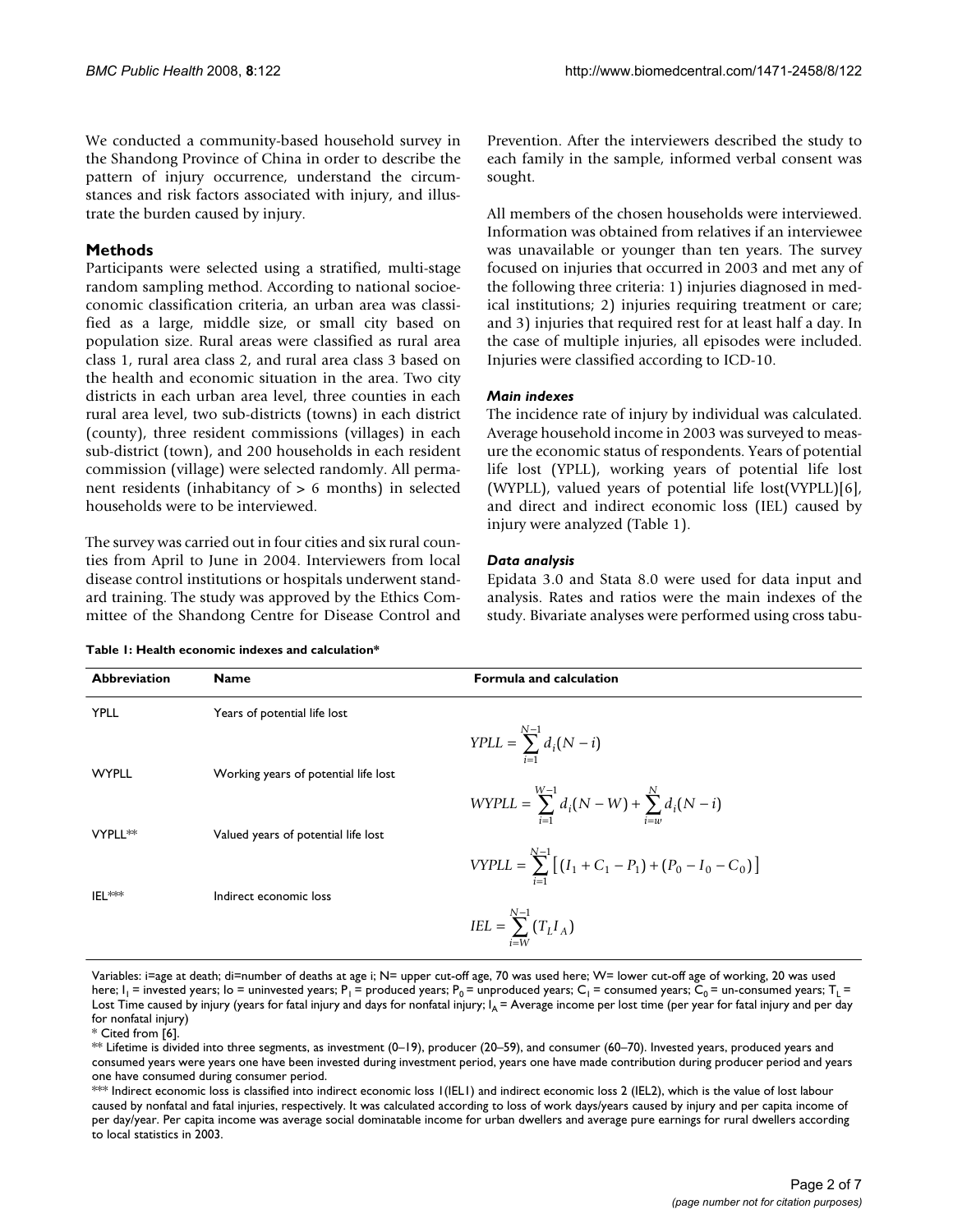We conducted a community-based household survey in the Shandong Province of China in order to describe the pattern of injury occurrence, understand the circumstances and risk factors associated with injury, and illustrate the burden caused by injury.

## **Methods**

Participants were selected using a stratified, multi-stage random sampling method. According to national socioeconomic classification criteria, an urban area was classified as a large, middle size, or small city based on population size. Rural areas were classified as rural area class 1, rural area class 2, and rural area class 3 based on the health and economic situation in the area. Two city districts in each urban area level, three counties in each rural area level, two sub-districts (towns) in each district (county), three resident commissions (villages) in each sub-district (town), and 200 households in each resident commission (village) were selected randomly. All permanent residents (inhabitancy of > 6 months) in selected households were to be interviewed.

The survey was carried out in four cities and six rural counties from April to June in 2004. Interviewers from local disease control institutions or hospitals underwent standard training. The study was approved by the Ethics Committee of the Shandong Centre for Disease Control and Prevention. After the interviewers described the study to each family in the sample, informed verbal consent was sought.

All members of the chosen households were interviewed. Information was obtained from relatives if an interviewee was unavailable or younger than ten years. The survey focused on injuries that occurred in 2003 and met any of the following three criteria: 1) injuries diagnosed in medical institutions; 2) injuries requiring treatment or care; and 3) injuries that required rest for at least half a day. In the case of multiple injuries, all episodes were included. Injuries were classified according to ICD-10.

#### *Main indexes*

The incidence rate of injury by individual was calculated. Average household income in 2003 was surveyed to measure the economic status of respondents. Years of potential life lost (YPLL), working years of potential life lost (WYPLL), valued years of potential life lost(VYPLL)[6], and direct and indirect economic loss (IEL) caused by injury were analyzed (Table 1).

## *Data analysis*

Epidata 3.0 and Stata 8.0 were used for data input and analysis. Rates and ratios were the main indexes of the study. Bivariate analyses were performed using cross tabu-

| Table 1: Health economic indexes and calculation* |  |  |
|---------------------------------------------------|--|--|
|---------------------------------------------------|--|--|

| <b>Abbreviation</b> | <b>Name</b>                          | <b>Formula and calculation</b>                                                                                   |
|---------------------|--------------------------------------|------------------------------------------------------------------------------------------------------------------|
| <b>YPLL</b>         | Years of potential life lost         |                                                                                                                  |
|                     |                                      | $YPLL = \sum_{i=1}^{N-1} d_i (N - i)$                                                                            |
| <b>WYPLL</b>        | Working years of potential life lost |                                                                                                                  |
|                     |                                      | $WYPLL = \sum_{i=1}^{W-1} d_i(N - W) + \sum_{i=w}^{N} d_i(N - i)$                                                |
| VYPLL**             | Valued years of potential life lost  |                                                                                                                  |
|                     |                                      | $\textit{VYPLL} = \sum_{1}^{N-1} \left[ \left( I_1 + C_1 - P_1 \right) + \left( P_0 - I_0 - C_0 \right) \right]$ |
| IFI **              | Indirect economic loss               |                                                                                                                  |
|                     |                                      | $IEL = \sum_{i=W}^{N-1} (T_L I_A)$                                                                               |

Variables: i=age at death; di=number of deaths at age i; N= upper cut-off age, 70 was used here; W= lower cut-off age of working, 20 was used here;  $I_1$  = invested years; Io = uninvested years; P<sub>1</sub> = produced years; P<sub>0</sub> = unproduced years; C<sub>1</sub> = consumed years;  $C_0$  = un-consumed years; T<sub>1</sub> = Lost Time caused by injury (years for fatal injury and days for nonfatal injury;  $I_A$  = Average income per lost time (per year for fatal injury and per day for nonfatal injury)

\* Cited from [6].

\*\* Lifetime is divided into three segments, as investment (0–19), producer (20–59), and consumer (60–70). Invested years, produced years and consumed years were years one have been invested during investment period, years one have made contribution during producer period and years one have consumed during consumer period.

\*\*\* Indirect economic loss is classified into indirect economic loss 1(IEL1) and indirect economic loss 2 (IEL2), which is the value of lost labour caused by nonfatal and fatal injuries, respectively. It was calculated according to loss of work days/years caused by injury and per capita income of per day/year. Per capita income was average social dominatable income for urban dwellers and average pure earnings for rural dwellers according to local statistics in 2003.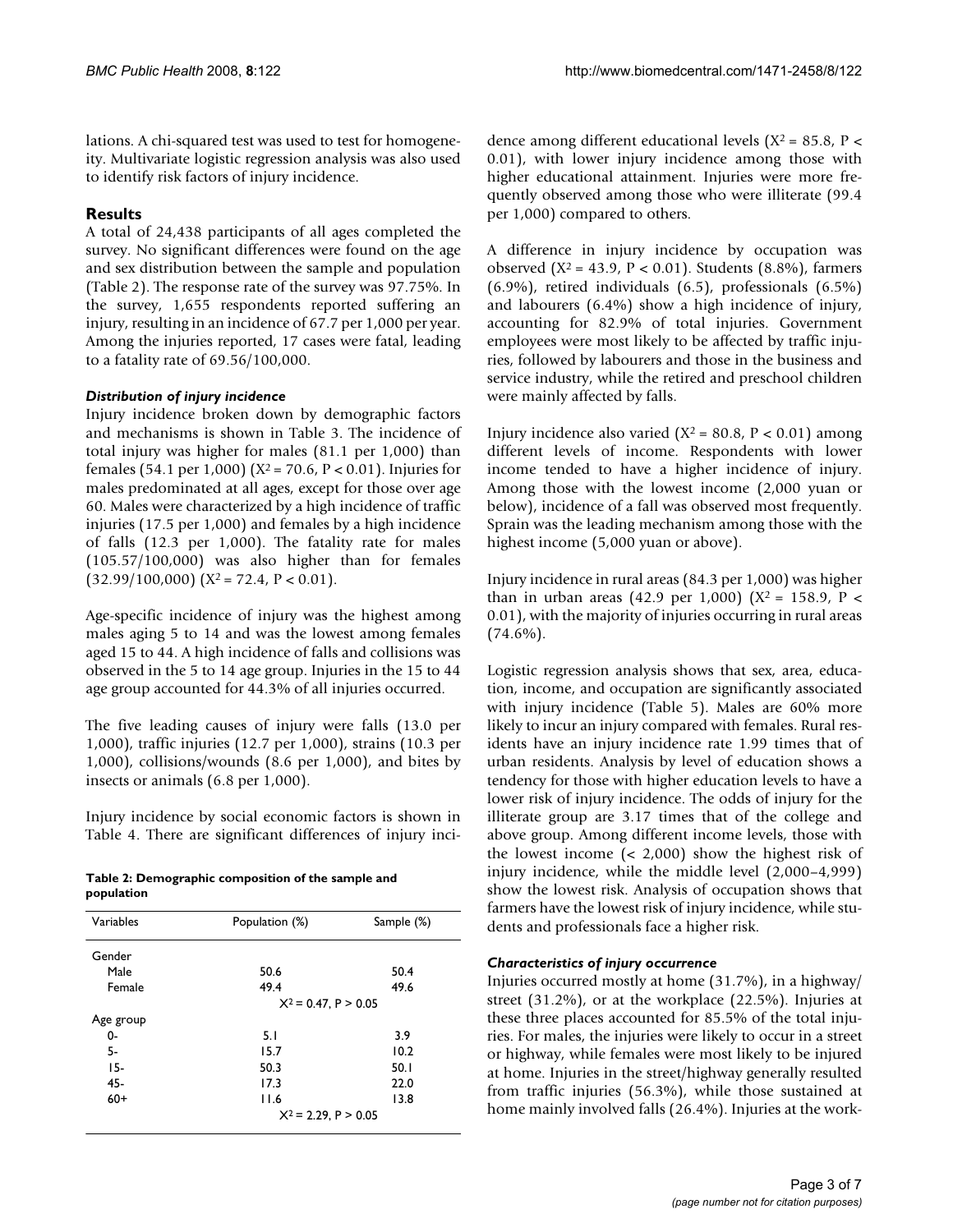lations. A chi-squared test was used to test for homogeneity. Multivariate logistic regression analysis was also used to identify risk factors of injury incidence.

## **Results**

A total of 24,438 participants of all ages completed the survey. No significant differences were found on the age and sex distribution between the sample and population (Table 2). The response rate of the survey was 97.75%. In the survey, 1,655 respondents reported suffering an injury, resulting in an incidence of 67.7 per 1,000 per year. Among the injuries reported, 17 cases were fatal, leading to a fatality rate of 69.56/100,000.

#### *Distribution of injury incidence*

Injury incidence broken down by demographic factors and mechanisms is shown in Table 3. The incidence of total injury was higher for males (81.1 per 1,000) than females (54.1 per 1,000) ( $X^2 = 70.6$ ,  $P < 0.01$ ). Injuries for males predominated at all ages, except for those over age 60. Males were characterized by a high incidence of traffic injuries (17.5 per 1,000) and females by a high incidence of falls (12.3 per 1,000). The fatality rate for males (105.57/100,000) was also higher than for females  $(32.99/100,000)$   $(X^2 = 72.4, P < 0.01)$ .

Age-specific incidence of injury was the highest among males aging 5 to 14 and was the lowest among females aged 15 to 44. A high incidence of falls and collisions was observed in the 5 to 14 age group. Injuries in the 15 to 44 age group accounted for 44.3% of all injuries occurred.

The five leading causes of injury were falls (13.0 per 1,000), traffic injuries (12.7 per 1,000), strains (10.3 per 1,000), collisions/wounds (8.6 per 1,000), and bites by insects or animals (6.8 per 1,000).

Injury incidence by social economic factors is shown in Table 4. There are significant differences of injury inci-

| Table 2: Demographic composition of the sample and |  |
|----------------------------------------------------|--|
| population                                         |  |

| Variables | Population (%)         | Sample (%) |  |  |
|-----------|------------------------|------------|--|--|
|           |                        |            |  |  |
| Gender    |                        |            |  |  |
| Male      | 50.6                   | 50.4       |  |  |
| Female    | 49.4                   | 49.6       |  |  |
|           | $X^2$ = 0.47, P > 0.05 |            |  |  |
| Age group |                        |            |  |  |
| 0-        | 5. I                   | 3.9        |  |  |
| 5-        | 15.7                   | 10.2       |  |  |
| $15-$     | 50.3                   | 50.1       |  |  |
| 45-       | 17.3                   | 22.0       |  |  |
| $60+$     | 11.6                   | 13.8       |  |  |
|           | $X^2$ = 2.29, P > 0.05 |            |  |  |
|           |                        |            |  |  |

dence among different educational levels ( $X^2 = 85.8$ ,  $P <$ 0.01), with lower injury incidence among those with higher educational attainment. Injuries were more frequently observed among those who were illiterate (99.4 per 1,000) compared to others.

A difference in injury incidence by occupation was observed (X2 = 43.9, P < 0.01). Students (8.8%), farmers (6.9%), retired individuals (6.5), professionals (6.5%) and labourers (6.4%) show a high incidence of injury, accounting for 82.9% of total injuries. Government employees were most likely to be affected by traffic injuries, followed by labourers and those in the business and service industry, while the retired and preschool children were mainly affected by falls.

Injury incidence also varied  $(X^2 = 80.8, P < 0.01)$  among different levels of income. Respondents with lower income tended to have a higher incidence of injury. Among those with the lowest income (2,000 yuan or below), incidence of a fall was observed most frequently. Sprain was the leading mechanism among those with the highest income (5,000 yuan or above).

Injury incidence in rural areas (84.3 per 1,000) was higher than in urban areas (42.9 per 1,000) ( $X^2 = 158.9$ ,  $P <$ 0.01), with the majority of injuries occurring in rural areas  $(74.6\%)$ .

Logistic regression analysis shows that sex, area, education, income, and occupation are significantly associated with injury incidence (Table 5). Males are 60% more likely to incur an injury compared with females. Rural residents have an injury incidence rate 1.99 times that of urban residents. Analysis by level of education shows a tendency for those with higher education levels to have a lower risk of injury incidence. The odds of injury for the illiterate group are 3.17 times that of the college and above group. Among different income levels, those with the lowest income (< 2,000) show the highest risk of injury incidence, while the middle level (2,000–4,999) show the lowest risk. Analysis of occupation shows that farmers have the lowest risk of injury incidence, while students and professionals face a higher risk.

## *Characteristics of injury occurrence*

Injuries occurred mostly at home (31.7%), in a highway/ street (31.2%), or at the workplace (22.5%). Injuries at these three places accounted for 85.5% of the total injuries. For males, the injuries were likely to occur in a street or highway, while females were most likely to be injured at home. Injuries in the street/highway generally resulted from traffic injuries (56.3%), while those sustained at home mainly involved falls (26.4%). Injuries at the work-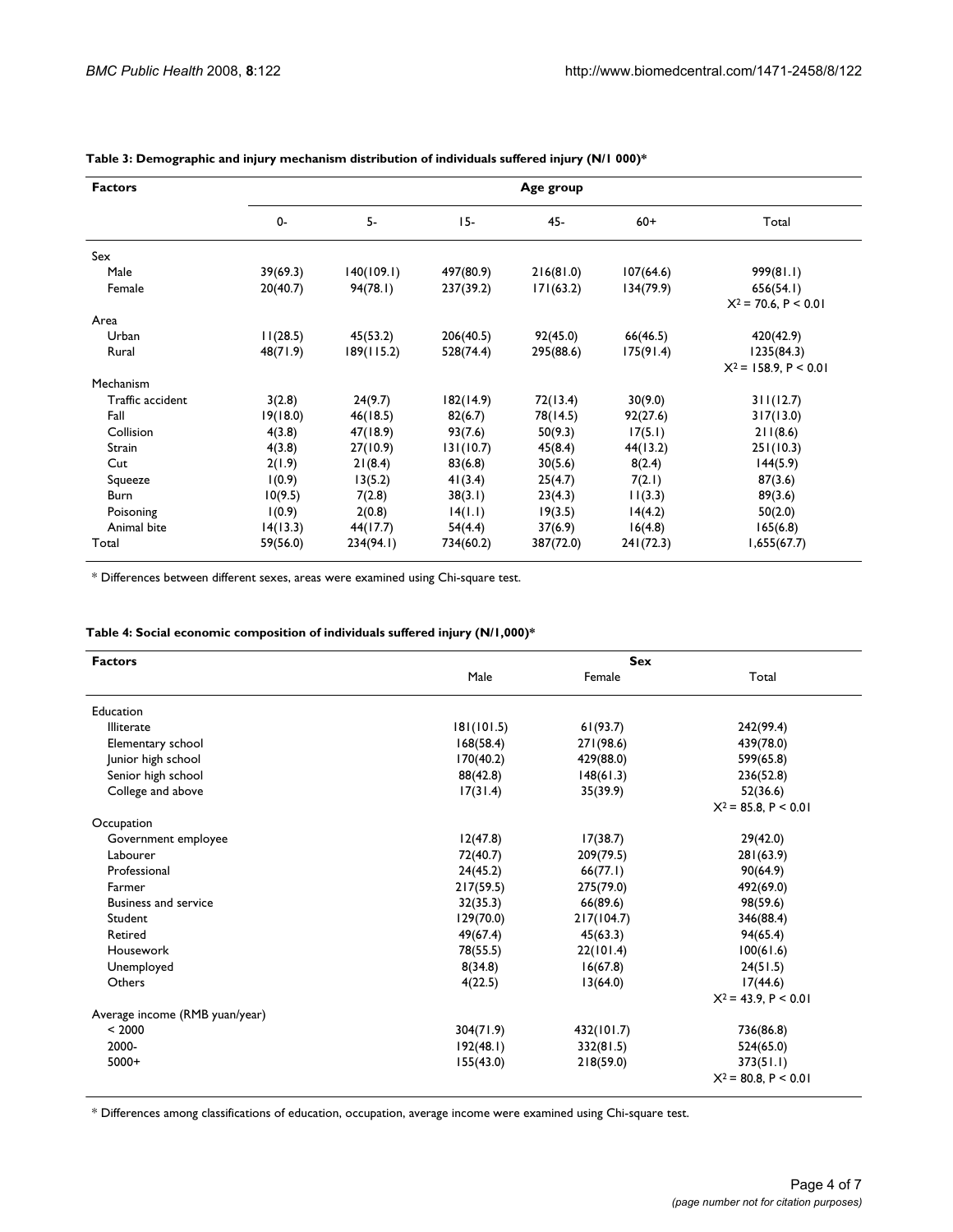| <b>Factors</b>   |          |            |           | Age group |           |                         |  |  |  |  |
|------------------|----------|------------|-----------|-----------|-----------|-------------------------|--|--|--|--|
|                  | $0 -$    | 5-         | $15-$     | $45-$     | $60+$     | Total                   |  |  |  |  |
| Sex              |          |            |           |           |           |                         |  |  |  |  |
| Male             | 39(69.3) | 140(109.1) | 497(80.9) | 216(81.0) | 107(64.6) | 999(81.1)               |  |  |  |  |
| Female           | 20(40.7) | 94(78.1)   | 237(39.2) | 171(63.2) | 134(79.9) | 656(54.1)               |  |  |  |  |
|                  |          |            |           |           |           | $X^2$ = 70.6, P < 0.01  |  |  |  |  |
| Area             |          |            |           |           |           |                         |  |  |  |  |
| Urban            | 11(28.5) | 45(53.2)   | 206(40.5) | 92(45.0)  | 66(46.5)  | 420(42.9)               |  |  |  |  |
| Rural            | 48(71.9) | 189(115.2) | 528(74.4) | 295(88.6) | 175(91.4) | 1235(84.3)              |  |  |  |  |
|                  |          |            |           |           |           | $X^2$ = 158.9, P < 0.01 |  |  |  |  |
| Mechanism        |          |            |           |           |           |                         |  |  |  |  |
| Traffic accident | 3(2.8)   | 24(9.7)    | 182(14.9) | 72(13.4)  | 30(9.0)   | 311(12.7)               |  |  |  |  |
| Fall             | 19(18.0) | 46(18.5)   | 82(6.7)   | 78(14.5)  | 92(27.6)  | 317(13.0)               |  |  |  |  |
| Collision        | 4(3.8)   | 47(18.9)   | 93(7.6)   | 50(9.3)   | 17(5.1)   | 211(8.6)                |  |  |  |  |
| Strain           | 4(3.8)   | 27(10.9)   | 131(10.7) | 45(8.4)   | 44(13.2)  | 251(10.3)               |  |  |  |  |
| Cut              | 2(1.9)   | 21(8.4)    | 83(6.8)   | 30(5.6)   | 8(2.4)    | 144(5.9)                |  |  |  |  |
| Squeeze          | 1(0.9)   | 13(5.2)    | 41(3.4)   | 25(4.7)   | 7(2.1)    | 87(3.6)                 |  |  |  |  |
| Burn             | 10(9.5)  | 7(2.8)     | 38(3.1)   | 23(4.3)   | 11(3.3)   | 89(3.6)                 |  |  |  |  |
| Poisoning        | 1(0.9)   | 2(0.8)     | 14(1.1)   | 19(3.5)   | 14(4.2)   | 50(2.0)                 |  |  |  |  |
| Animal bite      | 14(13.3) | 44(17.7)   | 54(4.4)   | 37(6.9)   | 16(4.8)   | 165(6.8)                |  |  |  |  |
| Total            | 59(56.0) | 234(94.1)  | 734(60.2) | 387(72.0) | 241(72.3) | 1,655(67.7)             |  |  |  |  |

**Table 3: Demographic and injury mechanism distribution of individuals suffered injury (N/1 000)\***

\* Differences between different sexes, areas were examined using Chi-square test.

|  |  |  |  | Table 4: Social economic composition of individuals suffered injury (N/1,000)* |  |  |
|--|--|--|--|--------------------------------------------------------------------------------|--|--|
|--|--|--|--|--------------------------------------------------------------------------------|--|--|

| Male       | Female     |                        |
|------------|------------|------------------------|
|            |            | Total                  |
|            |            |                        |
| 181(101.5) | 61(93.7)   | 242(99.4)              |
| 168(58.4)  | 271(98.6)  | 439(78.0)              |
| 170(40.2)  | 429(88.0)  | 599(65.8)              |
| 88(42.8)   | 148(61.3)  | 236(52.8)              |
| 17(31.4)   | 35(39.9)   | 52(36.6)               |
|            |            | $X^2 = 85.8, P < 0.01$ |
|            |            |                        |
| 12(47.8)   | 17(38.7)   | 29(42.0)               |
| 72(40.7)   |            | 281(63.9)              |
| 24(45.2)   | 66(77.1)   | 90(64.9)               |
| 217(59.5)  | 275(79.0)  | 492(69.0)              |
| 32(35.3)   | 66(89.6)   | 98(59.6)               |
| 129(70.0)  | 217(104.7) | 346(88.4)              |
| 49(67.4)   | 45(63.3)   | 94(65.4)               |
| 78(55.5)   | 22(101.4)  | 100(61.6)              |
| 8(34.8)    | 16(67.8)   | 24(51.5)               |
| 4(22.5)    | 13(64.0)   | 17(44.6)               |
|            |            | $X^2$ = 43.9, P < 0.01 |
|            |            |                        |
| 304(71.9)  | 432(101.7) | 736(86.8)              |
| 192(48.1)  | 332(81.5)  | 524(65.0)              |
| 155(43.0)  | 218(59.0)  | 373(51.1)              |
|            |            | $X^2$ = 80.8, P < 0.01 |
|            |            | 209(79.5)              |

\* Differences among classifications of education, occupation, average income were examined using Chi-square test.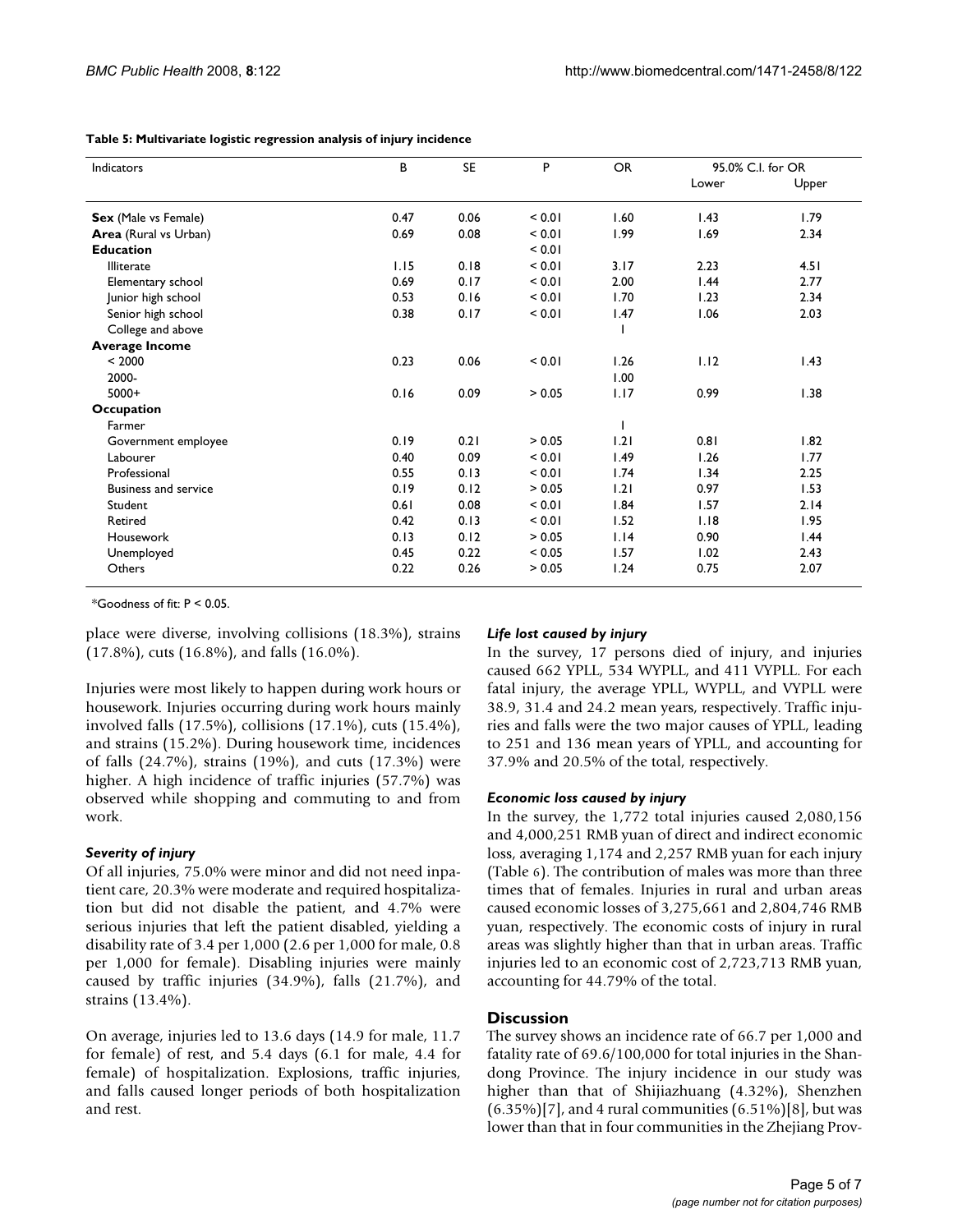| Indicators                  | В    | <b>SE</b> | P      | <b>OR</b> |       | 95.0% C.I. for OR |
|-----------------------------|------|-----------|--------|-----------|-------|-------------------|
|                             |      |           |        |           | Lower | Upper             |
| Sex (Male vs Female)        | 0.47 | 0.06      | < 0.01 | 1.60      | 1.43  | 1.79              |
| Area (Rural vs Urban)       | 0.69 | 0.08      | < 0.01 | 1.99      | 1.69  | 2.34              |
| <b>Education</b>            |      |           | < 0.01 |           |       |                   |
| Illiterate                  | 1.15 | 0.18      | < 0.01 | 3.17      | 2.23  | 4.51              |
| Elementary school           | 0.69 | 0.17      | < 0.01 | 2.00      | 1.44  | 2.77              |
| Junior high school          | 0.53 | 0.16      | < 0.01 | 1.70      | 1.23  | 2.34              |
| Senior high school          | 0.38 | 0.17      | < 0.01 | 1.47      | 1.06  | 2.03              |
| College and above           |      |           |        |           |       |                   |
| <b>Average Income</b>       |      |           |        |           |       |                   |
| < 2000                      | 0.23 | 0.06      | < 0.01 | 1.26      | 1.12  | 1.43              |
| 2000-                       |      |           |        | 1.00      |       |                   |
| $5000+$                     | 0.16 | 0.09      | > 0.05 | 1.17      | 0.99  | 1.38              |
| Occupation                  |      |           |        |           |       |                   |
| Farmer                      |      |           |        |           |       |                   |
| Government employee         | 0.19 | 0.21      | > 0.05 | 1.21      | 0.81  | 1.82              |
| Labourer                    | 0.40 | 0.09      | < 0.01 | 1.49      | 1.26  | 1.77              |
| Professional                | 0.55 | 0.13      | < 0.01 | 1.74      | 1.34  | 2.25              |
| <b>Business and service</b> | 0.19 | 0.12      | > 0.05 | 1.21      | 0.97  | 1.53              |
| Student                     | 0.61 | 0.08      | < 0.01 | 1.84      | 1.57  | 2.14              |
| Retired                     | 0.42 | 0.13      | < 0.01 | 1.52      | 1.18  | 1.95              |
| Housework                   | 0.13 | 0.12      | > 0.05 | 1.14      | 0.90  | 1.44              |
| Unemployed                  | 0.45 | 0.22      | < 0.05 | 1.57      | 1.02  | 2.43              |
| Others                      | 0.22 | 0.26      | > 0.05 | 1.24      | 0.75  | 2.07              |

\*Goodness of fit: P < 0.05.

place were diverse, involving collisions (18.3%), strains (17.8%), cuts (16.8%), and falls (16.0%).

Injuries were most likely to happen during work hours or housework. Injuries occurring during work hours mainly involved falls (17.5%), collisions (17.1%), cuts (15.4%), and strains (15.2%). During housework time, incidences of falls (24.7%), strains (19%), and cuts (17.3%) were higher. A high incidence of traffic injuries (57.7%) was observed while shopping and commuting to and from work.

#### *Severity of injury*

Of all injuries, 75.0% were minor and did not need inpatient care, 20.3% were moderate and required hospitalization but did not disable the patient, and 4.7% were serious injuries that left the patient disabled, yielding a disability rate of 3.4 per 1,000 (2.6 per 1,000 for male, 0.8 per 1,000 for female). Disabling injuries were mainly caused by traffic injuries (34.9%), falls (21.7%), and strains (13.4%).

On average, injuries led to 13.6 days (14.9 for male, 11.7 for female) of rest, and 5.4 days (6.1 for male, 4.4 for female) of hospitalization. Explosions, traffic injuries, and falls caused longer periods of both hospitalization and rest.

#### *Life lost caused by injury*

In the survey, 17 persons died of injury, and injuries caused 662 YPLL, 534 WYPLL, and 411 VYPLL. For each fatal injury, the average YPLL, WYPLL, and VYPLL were 38.9, 31.4 and 24.2 mean years, respectively. Traffic injuries and falls were the two major causes of YPLL, leading to 251 and 136 mean years of YPLL, and accounting for 37.9% and 20.5% of the total, respectively.

#### *Economic loss caused by injury*

In the survey, the 1,772 total injuries caused 2,080,156 and 4,000,251 RMB yuan of direct and indirect economic loss, averaging 1,174 and 2,257 RMB yuan for each injury (Table 6). The contribution of males was more than three times that of females. Injuries in rural and urban areas caused economic losses of 3,275,661 and 2,804,746 RMB yuan, respectively. The economic costs of injury in rural areas was slightly higher than that in urban areas. Traffic injuries led to an economic cost of 2,723,713 RMB yuan, accounting for 44.79% of the total.

#### **Discussion**

The survey shows an incidence rate of 66.7 per 1,000 and fatality rate of 69.6/100,000 for total injuries in the Shandong Province. The injury incidence in our study was higher than that of Shijiazhuang (4.32%), Shenzhen  $(6.35\%)$ [7], and 4 rural communities  $(6.51\%)$ [8], but was lower than that in four communities in the Zhejiang Prov-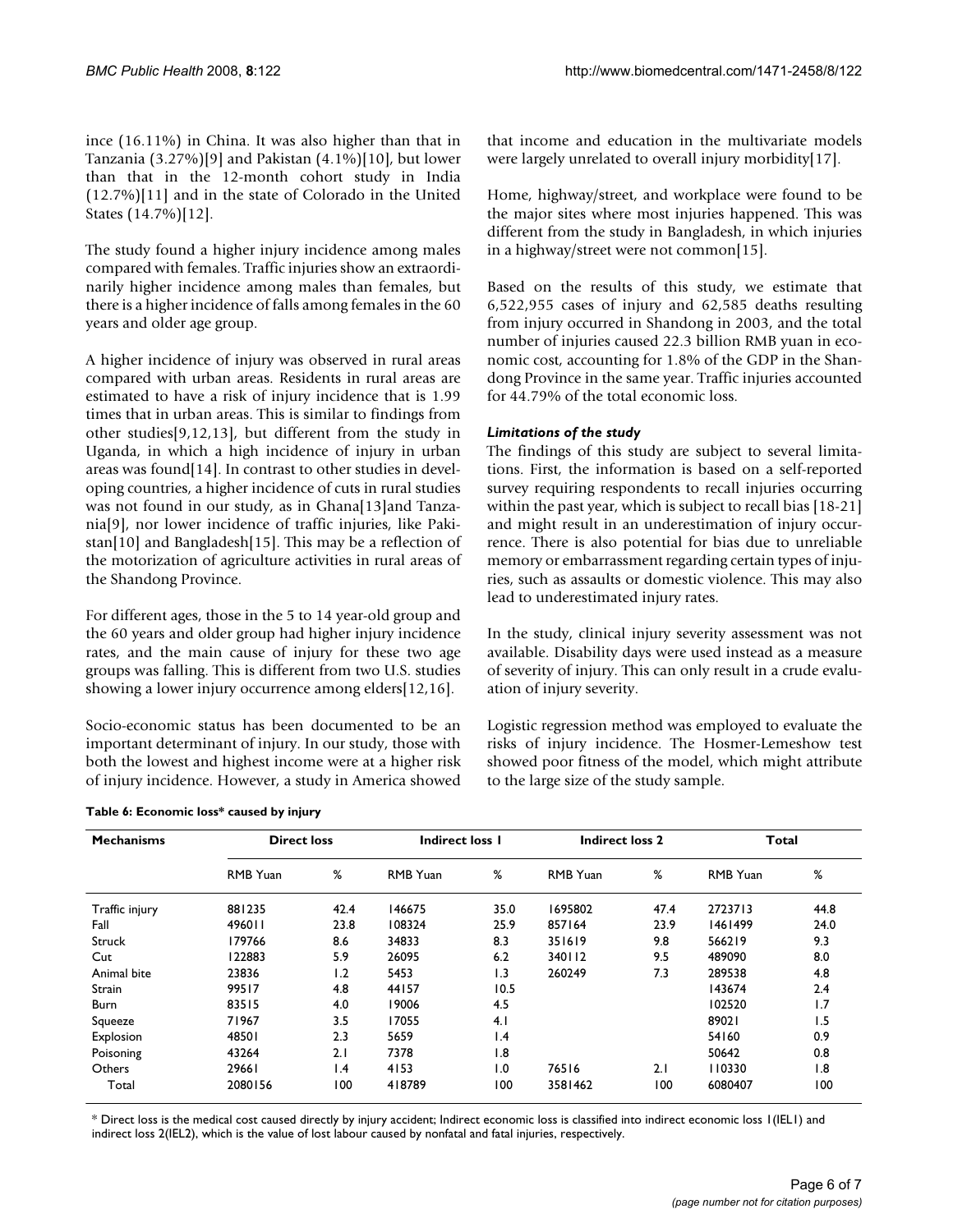ince (16.11%) in China. It was also higher than that in Tanzania (3.27%)[9] and Pakistan (4.1%)[10], but lower than that in the 12-month cohort study in India (12.7%)[11] and in the state of Colorado in the United States (14.7%)[12].

The study found a higher injury incidence among males compared with females. Traffic injuries show an extraordinarily higher incidence among males than females, but there is a higher incidence of falls among females in the 60 years and older age group.

A higher incidence of injury was observed in rural areas compared with urban areas. Residents in rural areas are estimated to have a risk of injury incidence that is 1.99 times that in urban areas. This is similar to findings from other studies[9,12,13], but different from the study in Uganda, in which a high incidence of injury in urban areas was found[14]. In contrast to other studies in developing countries, a higher incidence of cuts in rural studies was not found in our study, as in Ghana[13]and Tanzania[9], nor lower incidence of traffic injuries, like Pakistan[10] and Bangladesh[15]. This may be a reflection of the motorization of agriculture activities in rural areas of the Shandong Province.

For different ages, those in the 5 to 14 year-old group and the 60 years and older group had higher injury incidence rates, and the main cause of injury for these two age groups was falling. This is different from two U.S. studies showing a lower injury occurrence among elders[12,16].

Socio-economic status has been documented to be an important determinant of injury. In our study, those with both the lowest and highest income were at a higher risk of injury incidence. However, a study in America showed that income and education in the multivariate models were largely unrelated to overall injury morbidity[17].

Home, highway/street, and workplace were found to be the major sites where most injuries happened. This was different from the study in Bangladesh, in which injuries in a highway/street were not common[15].

Based on the results of this study, we estimate that 6,522,955 cases of injury and 62,585 deaths resulting from injury occurred in Shandong in 2003, and the total number of injuries caused 22.3 billion RMB yuan in economic cost, accounting for 1.8% of the GDP in the Shandong Province in the same year. Traffic injuries accounted for 44.79% of the total economic loss.

## *Limitations of the study*

The findings of this study are subject to several limitations. First, the information is based on a self-reported survey requiring respondents to recall injuries occurring within the past year, which is subject to recall bias [18-21] and might result in an underestimation of injury occurrence. There is also potential for bias due to unreliable memory or embarrassment regarding certain types of injuries, such as assaults or domestic violence. This may also lead to underestimated injury rates.

In the study, clinical injury severity assessment was not available. Disability days were used instead as a measure of severity of injury. This can only result in a crude evaluation of injury severity.

Logistic regression method was employed to evaluate the risks of injury incidence. The Hosmer-Lemeshow test showed poor fitness of the model, which might attribute to the large size of the study sample.

| <b>Mechanisms</b> | <b>Direct loss</b> |      | <b>Indirect loss I</b> |                 | <b>Indirect loss 2</b> |      | Total           |      |
|-------------------|--------------------|------|------------------------|-----------------|------------------------|------|-----------------|------|
|                   | <b>RMB</b> Yuan    | %    | <b>RMB</b> Yuan        | %               | <b>RMB</b> Yuan        | %    | <b>RMB</b> Yuan | %    |
| Traffic injury    | 881235             | 42.4 | 146675                 | 35.0            | 1695802                | 47.4 | 2723713         | 44.8 |
| Fall              | 496011             | 23.8 | 108324                 | 25.9            | 857164                 | 23.9 | 1461499         | 24.0 |
| <b>Struck</b>     | 179766             | 8.6  | 34833                  | 8.3             | 351619                 | 9.8  | 566219          | 9.3  |
| Cut               | 122883             | 5.9  | 26095                  | 6.2             | 340112                 | 9.5  | 489090          | 8.0  |
| Animal bite       | 23836              | 1.2  | 5453                   | 1.3             | 260249                 | 7.3  | 289538          | 4.8  |
| Strain            | 99517              | 4.8  | 44157                  | 10.5            |                        |      | 143674          | 2.4  |
| <b>Burn</b>       | 83515              | 4.0  | 19006                  | 4.5             |                        |      | 102520          | 1.7  |
| Squeeze           | 71967              | 3.5  | 17055                  | 4.1             |                        |      | 89021           | 1.5  |
| Explosion         | 48501              | 2.3  | 5659                   | $\mathsf{I}$ .4 |                        |      | 54160           | 0.9  |
| Poisoning         | 43264              | 2.1  | 7378                   | 8. ا            |                        |      | 50642           | 0.8  |
| Others            | 29661              | 1.4  | 4153                   | 1.0             | 76516                  | 2.1  | 110330          | 1.8  |
| Total             | 2080156            | 100  | 418789                 | 100             | 3581462                | 100  | 6080407         | 100  |

**Table 6: Economic loss\* caused by injury**

\* Direct loss is the medical cost caused directly by injury accident; Indirect economic loss is classified into indirect economic loss 1(IEL1) and indirect loss 2(IEL2), which is the value of lost labour caused by nonfatal and fatal injuries, respectively.